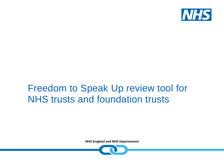

## Freedom to Speak Up review tool for NHS trusts and foundation trusts

**NHS England and NHS Improvement**

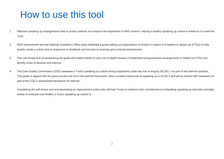## How to use this tool

- 1. Effective speaking up arrangements help to protect patients and improve the experience of NHS workers. Having a healthy speaking up culture is evidence of a well-led Trust.
- 2. NHS Improvement and the National Guardian's Office have published a guide setting out expectations of boards in relation to Freedom to Speak Up (FTSU) to help boards create a culture that is responsive to feedback and focused on learning and continual improvement.
- 3. This self-review tool accompanying the guide will enable boards to carry out in-depth reviews of leadership and governance arrangements in relation to FTSU and identify areas to develop and improve.
- 4. The Care Quality Commission (CQC) assesses a Trust's speaking up culture during inspections under key line of enquiry (KLOE) 3 as part of the well-led question. This guide is aligned with the good practice set out in the well-led framework, which contains references to speaking up in KLOE 3 and will be shared with Inspectors as part of the CQC's assessment framework for well-led.

Completing the self-review tool and developing an improvement action plan will help Trusts to evidence their commitment to embedding speaking up and help oversight bodies to evaluate how healthy a Trust's speaking up culture is.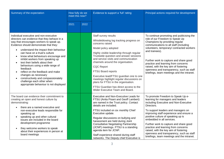| Summary of the expectation                                                                                                                                                                                                                                                                                                                                                                                                                                                                                                                                                                                                                      | How fully do we<br>meet this now? |      | Evidence to support a 'full' rating                                                                                                                                                                                                                                                                                                                                                                                                                                                                                                   | Principal actions required for development                                                                                                                                                                                                                                                                                                                                                                                                                                                            |
|-------------------------------------------------------------------------------------------------------------------------------------------------------------------------------------------------------------------------------------------------------------------------------------------------------------------------------------------------------------------------------------------------------------------------------------------------------------------------------------------------------------------------------------------------------------------------------------------------------------------------------------------------|-----------------------------------|------|---------------------------------------------------------------------------------------------------------------------------------------------------------------------------------------------------------------------------------------------------------------------------------------------------------------------------------------------------------------------------------------------------------------------------------------------------------------------------------------------------------------------------------------|-------------------------------------------------------------------------------------------------------------------------------------------------------------------------------------------------------------------------------------------------------------------------------------------------------------------------------------------------------------------------------------------------------------------------------------------------------------------------------------------------------|
|                                                                                                                                                                                                                                                                                                                                                                                                                                                                                                                                                                                                                                                 | 2021                              | 2022 |                                                                                                                                                                                                                                                                                                                                                                                                                                                                                                                                       |                                                                                                                                                                                                                                                                                                                                                                                                                                                                                                       |
| Individual executive and non-executive<br>directors can evidence that they behave in a<br>way that encourages workers to speak up.<br>Evidence should demonstrate that they:<br>understand the impact their behaviour<br>can have on a trust's culture<br>know what behaviours encourage and<br>$\bullet$<br>inhibit workers from speaking up<br>test their beliefs about their<br>$\bullet$<br>behaviours using a wide range of<br>feedback<br>reflect on the feedback and make<br>$\bullet$<br>changes as necessary<br>constructively and compassionately<br>$\bullet$<br>challenge each other when<br>appropriate behaviour is not displayed |                                   |      | Staff survey results<br>Whistleblowing log tracking progress on<br>concerns raised<br>Model policy adopted<br>Highly visible leadership through regular<br>Trustwide question and answer sessions<br>and service visits and communication<br>channels around the organisation.<br><b>CQC Report</b><br>FTSU Board reports<br>Executive lead/FTSU guardian one to one<br>meetings highlight regular discussions on<br>plans for FTSU in the organisation.<br>FTSU Guardian has direct access to the<br>Wider Executive Team and Board. | To continue promoting and publicising the<br>role of our Freedom to Speak Up<br>Champions by providing regular<br>communications to all staff (including<br>volunteers, temporary/ contracted workers<br>and trainees).<br>Further work to capture and share good<br>practice and learning from concerns<br>raised, with the key aim of fostering<br>openness and transparency, such as staff<br>briefings, team meetings and the intranet.                                                           |
| The board can evidence their commitment to<br>creating an open and honest culture by<br>demonstrating:<br>there are a named executive and<br>non-executive leads responsible for<br>speaking up<br>speaking up and other cultural<br>$\bullet$<br>issues are included in the board<br>development programme<br>they welcome workers to speak<br>about their experiences in person at<br>board meetings                                                                                                                                                                                                                                          |                                   |      | Executive and Non-Executive Leads for<br>FTSU (Anita Pisani and Geoff Lambert)<br>are named in the Trust policy. Contact<br>details are included.<br>FTSU included on six monthly Chief<br>Executive update.<br>Regular discussions on bullying and<br>harassment are held during Joint<br><b>Consultative Negotiating Partnership</b><br>(JCNP) meetings. FTSU is a standing<br>agenda item for JCNP.<br>Staff experience shared during staff<br>networks. The Deputy chief Executive is                                             | To promote Freedom to Speak Up e-<br>learning for managers and leaders<br>including Executive and Non-Executive<br>Directors.<br>To support leaders and managers on<br>improving staff experience and ensure a<br>positive culture of speaking up is<br>embedded in all services.<br>Further work to capture and share good<br>practice and learning from concerns<br>raised, with the key aim of fostering<br>openness and transparency, such as staff<br>briefings, team meetings and the intranet. |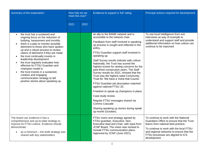| Summary of the expectation                                                                                                                                                                                                                                                                                                                                                                                                                                                                                                                                                         | How fully do we<br>meet this now? |      | Evidence to support a 'full' rating                                                                                                                                                                                                                                                                                                                                                                                                                                                                                                                                                                                                                                                                                                                                                                                   | Principal actions required for development                                                                                                                                                                                                                            |
|------------------------------------------------------------------------------------------------------------------------------------------------------------------------------------------------------------------------------------------------------------------------------------------------------------------------------------------------------------------------------------------------------------------------------------------------------------------------------------------------------------------------------------------------------------------------------------|-----------------------------------|------|-----------------------------------------------------------------------------------------------------------------------------------------------------------------------------------------------------------------------------------------------------------------------------------------------------------------------------------------------------------------------------------------------------------------------------------------------------------------------------------------------------------------------------------------------------------------------------------------------------------------------------------------------------------------------------------------------------------------------------------------------------------------------------------------------------------------------|-----------------------------------------------------------------------------------------------------------------------------------------------------------------------------------------------------------------------------------------------------------------------|
|                                                                                                                                                                                                                                                                                                                                                                                                                                                                                                                                                                                    | 2021                              | 2022 |                                                                                                                                                                                                                                                                                                                                                                                                                                                                                                                                                                                                                                                                                                                                                                                                                       |                                                                                                                                                                                                                                                                       |
| the trust has a sustained and<br>ongoing focus on the reduction of<br>bullying, harassment and incivility<br>there is a plan to monitor possible<br>detriment to those who have spoken<br>up and a robust process to review<br>claims of detriment if they are made<br>the trust continually invests in<br>leadership development<br>the trust regularly evaluates how<br>$\bullet$<br>effective its FTSU Guardian and<br>champion model is<br>the trust invests in a sustained.<br>creative and engaging<br>communication strategy to tell<br>positive stories about speaking up. |                                   |      | an ally to the BAME network and is<br>accessible to the network chair.<br>Feedback from staff involved in speaking<br>up process is sought and reflected in the<br>policy.<br>FTSU Guardian support staff involved in<br>speaking up.<br>Staff Survey results indicate safe culture.<br>Nationally, the Trust has scored the<br>highest scores for raising concerns for the<br>past three consecutive years. The Staff<br>Survey results for 2021, showed that the<br>Trust was the highest rated Community<br>Trust for 'We have a Voice that Counts.'<br>FTSU Guardian job description matched<br>against national FTSU JD.<br>Freedom to speak up champions in place.<br>Case study review<br>Regular FTSU messages shared via<br>Comms Cascade<br>Sharing speaking up stories during speak<br>up month (October). | To use local intelligence from exit<br>interviews as way of example to<br>understand and support staff and provide<br>additional information on how culture can<br>continue to be improved                                                                            |
| The board can evidence it has a<br>comprehensive and up-to-date strategy to<br>improve its FTSU culture. Evidence should<br>demonstrate:<br>as a minimum - the draft strategy was<br>shared with key stakeholders                                                                                                                                                                                                                                                                                                                                                                  |                                   |      | FTSU vision and strategy agreed by<br>FTSU guardian, Executive, Non-<br>Executive lead and Chair, with input from<br>JCNP Board. The vision was revised to<br>include FTSU communication plans.<br>Approved by JCNP (June 2021).                                                                                                                                                                                                                                                                                                                                                                                                                                                                                                                                                                                      | To continue to work with the National<br>Guardians Office to ensure that the Trust<br>learns from national best practice.<br>To continue to work with the local FTSU<br>and regional networks to ensure that the<br>FTSU processes are aligned to ICS<br>development. |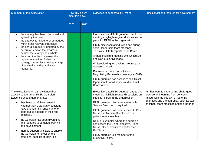| Summary of the expectation                                                                                                                                                                                                                                                                                                                                                                                                                                                                                                  | How fully do we<br>meet this now? |      | Evidence to support a 'full' rating                                                                                                                                                                                                                                                                                                                                                                                                                                                                                                                                             | Principal actions required for development                                                                                                                                                                       |
|-----------------------------------------------------------------------------------------------------------------------------------------------------------------------------------------------------------------------------------------------------------------------------------------------------------------------------------------------------------------------------------------------------------------------------------------------------------------------------------------------------------------------------|-----------------------------------|------|---------------------------------------------------------------------------------------------------------------------------------------------------------------------------------------------------------------------------------------------------------------------------------------------------------------------------------------------------------------------------------------------------------------------------------------------------------------------------------------------------------------------------------------------------------------------------------|------------------------------------------------------------------------------------------------------------------------------------------------------------------------------------------------------------------|
|                                                                                                                                                                                                                                                                                                                                                                                                                                                                                                                             | 2021                              | 2022 |                                                                                                                                                                                                                                                                                                                                                                                                                                                                                                                                                                                 |                                                                                                                                                                                                                  |
| the strategy has been discussed and<br>$\bullet$<br>agreed by the board<br>the strategy is linked to or embedded<br>$\bullet$<br>within other relevant strategies<br>the board is regularly updated by the<br>$\bullet$<br>executive lead on the progress<br>against the strategy as a whole<br>the executive lead oversees the<br>$\bullet$<br>regular evaluation of what the<br>strategy has achieved using a range<br>of qualitative and quantitative<br>measures.                                                       |                                   |      | Executive lead/FTSU guardian one to one<br>meetings highlight regular discussions on<br>plans for FTSU in the organisation.<br>FTSU discussed at induction and during<br>senior leadership team meetings<br>Trustwide. FTSU reports to the Board<br>Annual oversight meeting with Executive<br>and Non-Executive leads.<br>Whistleblowing log tracking progress on<br>concerns raised<br>Discussed at Joint Consultative<br>Negotiating Partnership meetings (JCNP)<br>FTSU guardian has access to all Clinical<br>Operational Board papers and all Trust<br><b>Board Wider</b> |                                                                                                                                                                                                                  |
| The executive team can evidence they<br>actively support their FTSU Guardian.<br>Evidence should demonstrate:<br>they have carefully evaluated<br>$\bullet$<br>whether their Guardian/champions<br>have enough ring-fenced time to<br>carry out all aspects of their role<br>effectively<br>the Guardian has been given time<br>$\bullet$<br>and resource to complete training<br>and development<br>there is support available to enable<br>$\bullet$<br>the Guardian to reflect on the<br>emotional aspects of their role |                                   |      | Executive lead/FTSU guardian one to one<br>meetings highlight regular discussions on<br>plans for FTSU in the organisation.<br>FTSU guardian discusses cases with<br>Service Directors, if required.<br>FTSU guardian has direct access to Chief<br>Nurse and Medical Director - Trust<br>patient safety joint leads.<br>Regular examples where the guardian<br>has access the Chief Executive, Chief<br>Nurse, other Executives and Service<br>Directors.<br>FTSU guardian is a member of the<br>Executive Team.                                                               | Further work to capture and share good<br>practice and learning from concerns<br>raised, with the key aim of fostering<br>openness and transparency, such as staff<br>briefings, team meetings and the intranet. |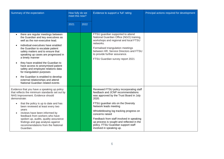| Summary of the expectation                                                                                                                                                                                                                                                                                                                                                                                                                                                                                                                                                               | How fully do we<br>meet this now? |      | Evidence to support a 'full' rating                                                                                                                                                                                                                                                                                                                                                                                         | Principal actions required for development |
|------------------------------------------------------------------------------------------------------------------------------------------------------------------------------------------------------------------------------------------------------------------------------------------------------------------------------------------------------------------------------------------------------------------------------------------------------------------------------------------------------------------------------------------------------------------------------------------|-----------------------------------|------|-----------------------------------------------------------------------------------------------------------------------------------------------------------------------------------------------------------------------------------------------------------------------------------------------------------------------------------------------------------------------------------------------------------------------------|--------------------------------------------|
|                                                                                                                                                                                                                                                                                                                                                                                                                                                                                                                                                                                          | 2021                              | 2022 |                                                                                                                                                                                                                                                                                                                                                                                                                             |                                            |
| there are regular meetings between<br>$\bullet$<br>the Guardian and key executives as<br>well as the non-executive lead.<br>individual executives have enabled<br>the Guardian to escalate patient<br>safety matters and to ensure that<br>speaking up cases are progressed in<br>a timely manner<br>they have enabled the Guardian to<br>$\bullet$<br>have access to anonymised patient<br>safety and employee relations data<br>for triangulation purposes<br>the Guardian is enabled to develop<br>$\bullet$<br>external relationships and attend<br>National Guardian related events |                                   |      | FTSU guardian supported to attend<br>National Guardian Office (NGO) training,<br>workshops and regional and local FTSU<br>networks.<br>Formalised triangulation meetings<br>between HR, Service Directors and FTSU<br>to provide further assurance.<br>FTSU Guardian survey report 2021                                                                                                                                     |                                            |
| Evidence that you have a speaking up policy<br>that reflects the minimum standards set out by<br>NHS Improvement. Evidence should<br>demonstrate:<br>that the policy is up to date and has<br>$\bullet$<br>been reviewed at least every two<br>years<br>reviews have been informed by<br>$\bullet$<br>feedback from workers who have<br>spoken up, audits, quality assurance<br>findings and gap analysis against<br>recommendations from the National<br>Guardian.                                                                                                                      |                                   |      | Reviewed FTSU policy incorporating staff<br>feedback and JCNP recommendations<br>was approved by the Trust Board in July<br>2020.<br>FTSU guardian sits on the Diversity<br>Network leads meeting<br>Whistleblowing log tracking progress on<br>concerns raised<br>Feedback from staff involved in speaking<br>up process is sought and reflected in the<br>policy. FTSU Guardian support staff<br>involved in speaking up. |                                            |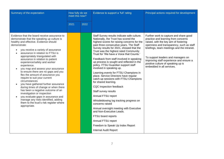| Summary of the expectation                                                                                                                                                                                                                                                                                                                                                                                                                                                                                                                                                                                                                                                                                                                                                                                        | How fully do we<br>meet this now? |      | Evidence to support a 'full' rating                                                                                                                                                                                                                                                                                                                                                                                                                                                                                                                                                                                                                                                                                                                                                                                                                                                                                                                  | Principal actions required for development                                                                                                                                                                                                                                                                                                                           |
|-------------------------------------------------------------------------------------------------------------------------------------------------------------------------------------------------------------------------------------------------------------------------------------------------------------------------------------------------------------------------------------------------------------------------------------------------------------------------------------------------------------------------------------------------------------------------------------------------------------------------------------------------------------------------------------------------------------------------------------------------------------------------------------------------------------------|-----------------------------------|------|------------------------------------------------------------------------------------------------------------------------------------------------------------------------------------------------------------------------------------------------------------------------------------------------------------------------------------------------------------------------------------------------------------------------------------------------------------------------------------------------------------------------------------------------------------------------------------------------------------------------------------------------------------------------------------------------------------------------------------------------------------------------------------------------------------------------------------------------------------------------------------------------------------------------------------------------------|----------------------------------------------------------------------------------------------------------------------------------------------------------------------------------------------------------------------------------------------------------------------------------------------------------------------------------------------------------------------|
|                                                                                                                                                                                                                                                                                                                                                                                                                                                                                                                                                                                                                                                                                                                                                                                                                   | 2021                              | 2022 |                                                                                                                                                                                                                                                                                                                                                                                                                                                                                                                                                                                                                                                                                                                                                                                                                                                                                                                                                      |                                                                                                                                                                                                                                                                                                                                                                      |
| Evidence that the board receive assurance to<br>demonstrate that the speaking up culture is<br>healthy and effective. Evidence should<br>demonstrate:<br>you receive a variety of assurance<br>assurance in relation to FTSU is<br>appropriately triangulated with<br>assurance in relation to patient<br>experience/safety and worker<br>experience.<br>you map and assess your assurance<br>to ensure there are no gaps and you<br>flex the amount of assurance you<br>require to suit your current<br>circumstances<br>you have gathered further assurance<br>during times of change or when there<br>has been a negative outcome of an<br>investigation or inspection<br>you evaluate gaps in assurance and<br>manage any risks identified, adding<br>them to the trust's risk register where<br>appropriate. |                                   |      | Staff Survey results indicate safe culture.<br>Nationally, the Trust has scored the<br>highest scores for raising concerns for the<br>past three consecutive years. The Staff<br>Survey results for 2021, showed that the<br>Trust was the highest rated Community<br>Trust for 'We have a Voice that Counts.'<br>Feedback from staff involved in speaking<br>up process is sought and reflected in the<br>policy. FTSU Guardian support staff<br>involved in speaking up.<br>Learning events for FTSU Champions in<br>place. Service Directors have regular<br>catch-up sessions with FTSU Champions<br>for shared learning.<br>CQC inspection feedback<br>Staff survey results<br>Annual FTSU report<br>Whistleblowing log tracking progress on<br>concerns raised<br>Annual oversight meeting with Executive<br>and Non-Executive Leads.<br>FTSU board reports<br>Annual FTSU report<br>Freedom to Speak Up Index Report<br>Internal Audit Report | Further work to capture and share good<br>practice and learning from concerns<br>raised, with the key aim of fostering<br>openness and transparency, such as staff<br>briefings, team meetings and the intranet.<br>To support leaders and managers on<br>improving staff experience and ensure a<br>positive culture of speaking up is<br>embedded in all services. |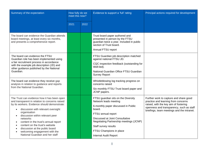| Summary of the expectation                                                                                                                                                                                                                                                                                                                                                                                                                      | How fully do we<br>meet this now? |      | Evidence to support a 'full' rating                                                                                                                                                                                                                                                           | Principal actions required for development                                                                                                                                                                       |
|-------------------------------------------------------------------------------------------------------------------------------------------------------------------------------------------------------------------------------------------------------------------------------------------------------------------------------------------------------------------------------------------------------------------------------------------------|-----------------------------------|------|-----------------------------------------------------------------------------------------------------------------------------------------------------------------------------------------------------------------------------------------------------------------------------------------------|------------------------------------------------------------------------------------------------------------------------------------------------------------------------------------------------------------------|
|                                                                                                                                                                                                                                                                                                                                                                                                                                                 | 2021                              | 2022 |                                                                                                                                                                                                                                                                                               |                                                                                                                                                                                                                  |
| The board can evidence the Guardian attends<br>board meetings, at least every six months,<br>and presents a comprehensive report.                                                                                                                                                                                                                                                                                                               |                                   |      | Trust board paper authored and<br>presented in person by the FTSU<br>guardian twice a year. Included in public<br>section of Trust board.<br>Annual FTSU report                                                                                                                               |                                                                                                                                                                                                                  |
| The board can evidence the FTSU<br>Guardian role has been implemented using<br>a fair recruitment process in accordance<br>with the example job description (JD) and<br>other guidance published by the National<br>Guardian.                                                                                                                                                                                                                   |                                   |      | FTSU Guardian job description matched<br>against national FTSU JD.<br>CQC inspection feedback (outstanding for<br>Well-led).<br>National Guardian Office FTSU Guardian<br><b>Survey Report</b>                                                                                                |                                                                                                                                                                                                                  |
| The board can evidence they receive gap<br>analysis in relation to guidance and reports<br>from the National Guardian.                                                                                                                                                                                                                                                                                                                          |                                   |      | Whistleblowing log tracking progress on<br>concerns raised<br>Six monthly FTSU Trust board paper and<br>JCNP papers.                                                                                                                                                                          |                                                                                                                                                                                                                  |
| The Trust can evidence how it has been open<br>and transparent in relation to concerns raised<br>by its workers. Evidence should demonstrate:<br>discussion with relevant oversight<br>organisation<br>discussion within relevant peer<br>networks<br>content in the trust's annual report<br>$\bullet$<br>content on the trust's website<br>discussion at the public board<br>welcoming engagement with the<br>National Guardian and her staff |                                   |      | FTSU guardian sits on the Diversity<br>Network leads meeting<br>6-monthly paper discussed in Public<br>board.<br>FTSU annual report<br>Discussed at Joint Consultative<br>Negotiating Partnership meetings (JCNP)<br>Staff survey results<br>FTSU Champions in place<br>Internal Audit Report | Further work to capture and share good<br>practice and learning from concerns<br>raised, with the key aim of fostering<br>openness and transparency, such as staff<br>briefings, team meetings and the intranet. |